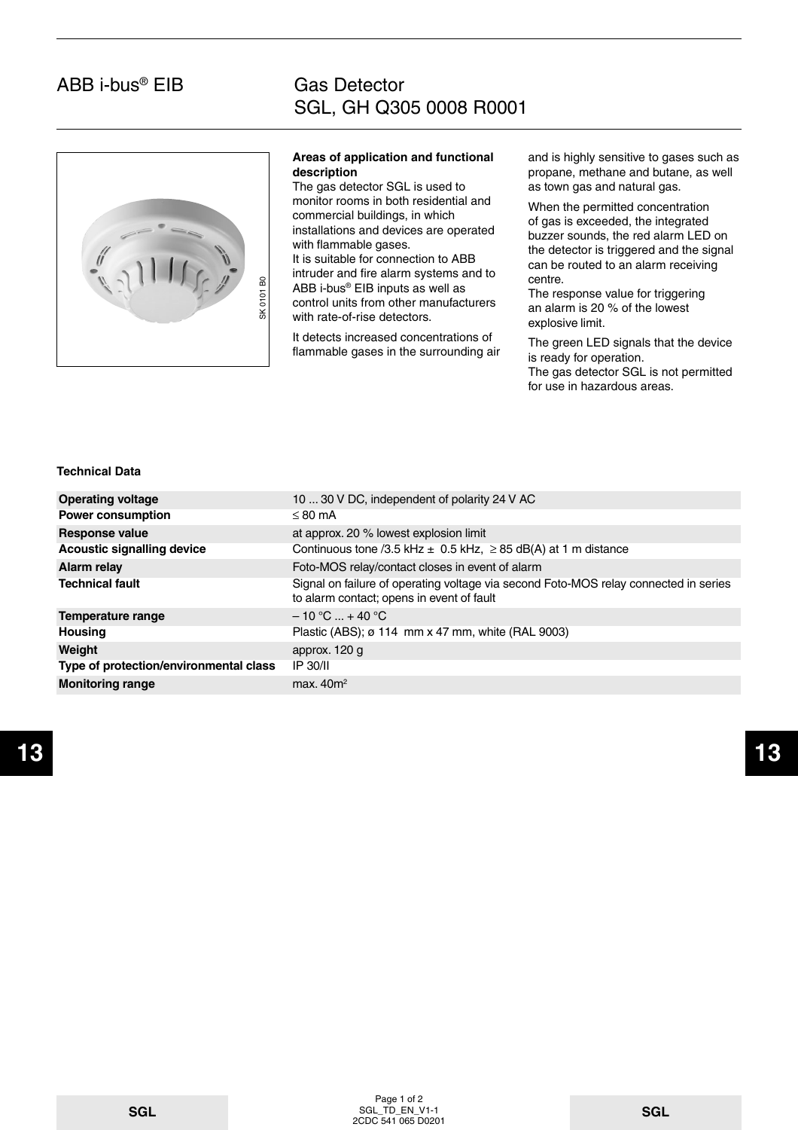## ABB i-bus® EIB

### Gas Detector SGL, GH Q305 0008 R0001



#### **Areas of application and functional description**

The gas detector SGL is used to monitor rooms in both residential and commercial buildings, in which installations and devices are operated with flammable gases.

It is suitable for connection to ABB intruder and fire alarm systems and to ABB i-bus® EIB inputs as well as control units from other manufacturers with rate-of-rise detectors.

and is highly sensitive to gases such as propane, methane and butane, as well as town gas and natural gas.

When the permitted concentration of gas is exceeded, the integrated buzzer sounds, the red alarm LED on the detector is triggered and the signal can be routed to an alarm receiving centre.

### **Technical Data**

| 6<br>SK 0101                           | ABB i-bus® EIB inputs as well as<br>control units from other manufacturers<br>with rate-of-rise detectors.<br>It detects increased concentrations of<br>flammable gases in the surrounding air | centre.<br>The response value for triggering<br>an alarm is 20 % of the lowest<br>explosive limit.<br>The green LED signals that the device<br>is ready for operation.<br>The gas detector SGL is not permitted<br>for use in hazardous areas. |
|----------------------------------------|------------------------------------------------------------------------------------------------------------------------------------------------------------------------------------------------|------------------------------------------------------------------------------------------------------------------------------------------------------------------------------------------------------------------------------------------------|
| <b>Technical Data</b>                  |                                                                                                                                                                                                |                                                                                                                                                                                                                                                |
| <b>Operating voltage</b>               | 10  30 V DC, independent of polarity 24 V AC                                                                                                                                                   |                                                                                                                                                                                                                                                |
| <b>Power consumption</b>               | $\leq$ 80 mA                                                                                                                                                                                   |                                                                                                                                                                                                                                                |
| <b>Response value</b>                  | at approx. 20 % lowest explosion limit                                                                                                                                                         |                                                                                                                                                                                                                                                |
| <b>Acoustic signalling device</b>      | Continuous tone /3.5 kHz $\pm$ 0.5 kHz, $\geq$ 85 dB(A) at 1 m distance                                                                                                                        |                                                                                                                                                                                                                                                |
| <b>Alarm relay</b>                     | Foto-MOS relay/contact closes in event of alarm                                                                                                                                                |                                                                                                                                                                                                                                                |
| <b>Technical fault</b>                 | Signal on failure of operating voltage via second Foto-MOS relay connected in series<br>to alarm contact; opens in event of fault                                                              |                                                                                                                                                                                                                                                |
| <b>Temperature range</b>               | $-10 °C  + 40 °C$                                                                                                                                                                              |                                                                                                                                                                                                                                                |
| <b>Housing</b>                         | Plastic (ABS); ø 114 mm x 47 mm, white (RAL 9003)                                                                                                                                              |                                                                                                                                                                                                                                                |
| Weight                                 | approx. 120 g                                                                                                                                                                                  |                                                                                                                                                                                                                                                |
| Type of protection/environmental class | <b>IP 30/II</b>                                                                                                                                                                                |                                                                                                                                                                                                                                                |
| <b>Monitoring range</b>                | max. $40m^2$                                                                                                                                                                                   |                                                                                                                                                                                                                                                |